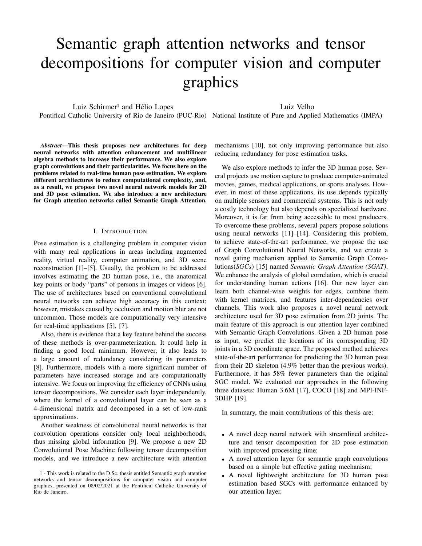# Semantic graph attention networks and tensor decompositions for computer vision and computer graphics

Luiz Schirmer<sup>1</sup> and Hélio Lopes

Luiz Velho

Pontifical Catholic University of Rio de Janeiro (PUC-Rio) National Institute of Pure and Applied Mathematics (IMPA)

*Abstract*—This thesis proposes new architectures for deep

mechanisms [10], not only improving performance but also reducing redundancy for pose estimation tasks.

We also explore methods to infer the 3D human pose. Several projects use motion capture to produce computer-animated movies, games, medical applications, or sports analyses. However, in most of these applications, its use depends typically on multiple sensors and commercial systems. This is not only a costly technology but also depends on specialized hardware. Moreover, it is far from being accessible to most producers. To overcome these problems, several papers propose solutions using neural networks [11]–[14]. Considering this problem, to achieve state-of-the-art performance, we propose the use of Graph Convolutional Neural Networks, and we create a novel gating mechanism applied to Semantic Graph Convolutions(*SGCs*) [15] named *Semantic Graph Attention (SGAT)*. We enhance the analysis of global correlation, which is crucial for understanding human actions [16]. Our new layer can learn both channel-wise weights for edges, combine them with kernel matrices, and features inter-dependencies over channels. This work also proposes a novel neural network architecture used for 3D pose estimation from 2D joints. The main feature of this approach is our attention layer combined with Semantic Graph Convolutions. Given a 2D human pose as input, we predict the locations of its corresponding 3D joints in a 3D coordinate space. The proposed method achieves state-of-the-art performance for predicting the 3D human pose from their 2D skeleton (4.9% better than the previous works). Furthermore, it has 58% fewer parameters than the original SGC model. We evaluated our approaches in the following three datasets: Human 3.6M [17], COCO [18] and MPI-INF-3DHP [19].

In summary, the main contributions of this thesis are:

- A novel deep neural network with streamlined architecture and tensor decomposition for 2D pose estimation with improved processing time;
- A novel attention layer for semantic graph convolutions based on a simple but effective gating mechanism;
- A novel lightweight architecture for 3D human pose estimation based SGCs with performance enhanced by our attention layer.

neural networks with attention enhancement and multilinear algebra methods to increase their performance. We also explore graph convolutions and their particularities. We focus here on the problems related to real-time human pose estimation. We explore different architectures to reduce computational complexity, and, as a result, we propose two novel neural network models for 2D and 3D pose estimation. We also introduce a new architecture for Graph attention networks called Semantic Graph Attention.

## I. INTRODUCTION

Pose estimation is a challenging problem in computer vision with many real applications in areas including augmented reality, virtual reality, computer animation, and 3D scene reconstruction [1]–[5]. Usually, the problem to be addressed involves estimating the 2D human pose, i.e., the anatomical key points or body "parts" of persons in images or videos [6]. The use of architectures based on conventional convolutional neural networks can achieve high accuracy in this context; however, mistakes caused by occlusion and motion blur are not uncommon. Those models are computationally very intensive for real-time applications [5], [7].

Also, there is evidence that a key feature behind the success of these methods is over-parameterization. It could help in finding a good local minimum. However, it also leads to a large amount of redundancy considering its parameters [8]. Furthermore, models with a more significant number of parameters have increased storage and are computationally intensive. We focus on improving the efficiency of CNNs using tensor decompositions. We consider each layer independently, where the kernel of a convolutional layer can be seen as a 4-dimensional matrix and decomposed in a set of low-rank approximations.

Another weakness of convolutional neural networks is that convolution operations consider only local neighborhoods, thus missing global information [9]. We propose a new 2D Convolutional Pose Machine following tensor decomposition models, and we introduce a new architecture with attention

<sup>1 -</sup> This work is related to the D.Sc. thesis entitled Semantic graph attention networks and tensor decompositions for computer vision and computer graphics, presented on 08/02/2021 at the Pontifical Catholic University of Rio de Janeiro.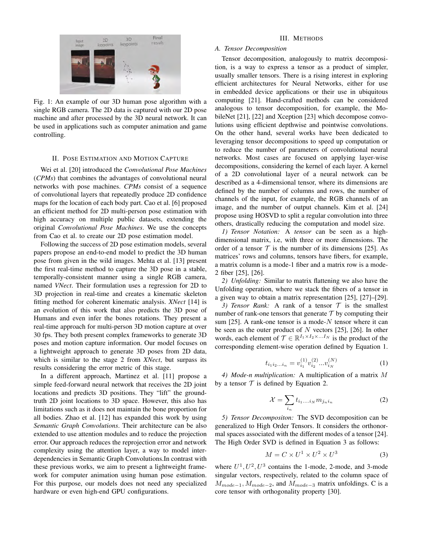

Fig. 1: An example of our 3D human pose algorithm with a single RGB camera. The 2D data is captured with our 2D pose machine and after processed by the 3D neural network. It can be used in applications such as computer animation and game controlling.

#### II. POSE ESTIMATION AND MOTION CAPTURE

Wei et al. [20] introduced the *Convolutional Pose Machines* (*CPMs*) that combines the advantages of convolutional neural networks with pose machines. *CPMs* consist of a sequence of convolutional layers that repeatedly produce 2D confidence maps for the location of each body part. Cao et al. [6] proposed an efficient method for 2D multi-person pose estimation with high accuracy on multiple public datasets, extending the original *Convolutional Pose Machines*. We use the concepts from Cao et al. to create our 2D pose estimation model.

Following the success of 2D pose estimation models, several papers propose an end-to-end model to predict the 3D human pose from given in the wild images. Mehta et al. [13] present the first real-time method to capture the 3D pose in a stable, temporally-consistent manner using a single RGB camera, named *VNect*. Their formulation uses a regression for 2D to 3D projection in real-time and creates a kinematic skeleton fitting method for coherent kinematic analysis. *XNect* [14] is an evolution of this work that also predicts the 3D pose of Humans and even infer the bones rotations. They present a real-time approach for multi-person 3D motion capture at over 30 fps. They both present complex frameworks to generate 3D poses and motion capture information. Our model focuses on a lightweight approach to generate 3D poses from 2D data, which is similar to the stage 2 from *XNect*, but surpass its results considering the error metric of this stage.

In a different approach, Martinez et al. [11] propose a simple feed-forward neural network that receives the 2D joint locations and predicts 3D positions. They "lift" the groundtruth 2D joint locations to 3D space. However, this also has limitations such as it does not maintain the bone proportion for all bodies. Zhao et al. [12] has expanded this work by using *Semantic Graph Convolutions*. Their architecture can be also extended to use attention modules and to reduce the projection error. Our approach reduces the reprojection error and network complexity using the attention layer, a way to model interdependencies in Semantic Graph Convolutions.In contrast with these previous works, we aim to present a lightweight framework for computer animation using human pose estimation. For this purpose, our models does not need any specialized hardware or even high-end GPU configurations.

#### III. METHODS

# *A. Tensor Decomposition*

Tensor decomposition, analogously to matrix decomposition, is a way to express a tensor as a product of simpler, usually smaller tensors. There is a rising interest in exploring efficient architectures for Neural Networks, either for use in embedded device applications or their use in ubiquitous computing [21]. Hand-crafted methods can be considered analogous to tensor decomposition, for example, the MobileNet [21], [22] and Xception [23] which decompose convolutions using efficient depthwise and pointwise convolutions. On the other hand, several works have been dedicated to leveraging tensor decompositions to speed up computation or to reduce the number of parameters of convolutional neural networks. Most cases are focused on applying layer-wise decompositions, considering the kernel of each layer. A kernel of a 2D convolutional layer of a neural network can be described as a 4-dimensional tensor, where its dimensions are defined by the number of columns and rows, the number of channels of the input, for example, the RGB channels of an image, and the number of output channels. Kim et al. [24] propose using HOSVD to split a regular convolution into three others, drastically reducing the computation and model size.

*1) Tensor Notation:* A *tensor* can be seen as a highdimensional matrix, i.e, with three or more dimensions. The order of a tensor  $T$  is the number of its dimensions [25]. As matrices' rows and columns, tensors have fibers, for example, a matrix column is a mode-1 fiber and a matrix row is a mode-2 fiber [25], [26].

*2) Unfolding:* Similar to matrix flattening we also have the Unfolding operation, where we stack the fibers of a tensor in a given way to obtain a matrix representation [25], [27]–[29].

*3) Tensor Rank:* A rank of a tensor  $\mathcal T$  is the smallest number of rank-one tensors that generate  $\mathcal T$  by computing their sum [25]. A rank-one tensor is a mode- $N$  tensor where it can be seen as the outer product of  $N$  vectors [25], [26]. In other words, each element of  $\mathcal{T} \in \mathbb{R}^{I_1 \times I_2 \times \ldots \times I_N}$  is the product of the corresponding element-wise operation defined by Equation 1.

$$
t_{i_1 i_2 \dots i_n} = v_{i_1}^{(1)} v_{i_2}^{(2)} \dots v_{i_N}^{(N)} \tag{1}
$$

*4) Mode-n multiplication:* A multiplication of a matrix M by a tensor  $T$  is defined by Equation 2.

$$
\mathcal{X} = \sum_{i_n} t_{i_1...i_N} m_{j_n i_n} \tag{2}
$$

*5) Tensor Decompositon:* The SVD decomposition can be generalized to High Order Tensors. It considers the orthonormal spaces associated with the different modes of a tensor [24]. The High Order SVD is defined in Equation 3 as follows:

$$
M = C \times U^1 \times U^2 \times U^3 \tag{3}
$$

where  $U^1, U^2, U^3$  contains the 1-mode, 2-mode, and 3-mode singular vectors, respectively, related to the column space of  $M_{mode=1}, M_{mode=2}$ , and  $M_{mode=3}$  matrix unfoldings. C is a core tensor with orthogonality property [30].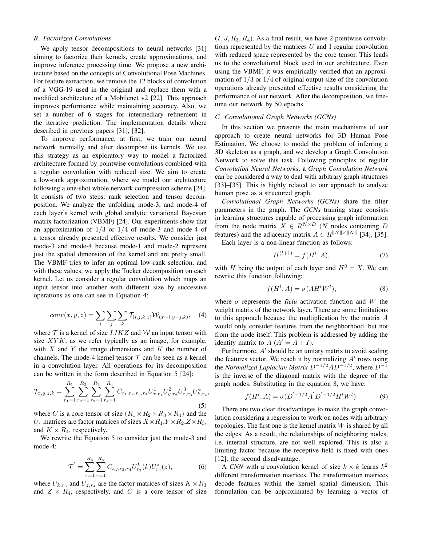## *B. Factorized Convolutions*

We apply tensor decompositions to neural networks [31] aiming to factorize their kernels, create approximations, and improve inference processing time. We propose a new architecture based on the concepts of Convolutional Pose Machines. For feature extraction, we remove the 12 blocks of convolution of a VGG-19 used in the original and replace them with a modified architecture of a Mobilenet v2 [22]. This approach improves performance while maintaining accuracy. Also, we set a number of 6 stages for intermediary refinement in the iterative prediction. The implementation details where described in previous papers [31], [32].

To improve performance, at first, we train our neural network normally and after decompose its kernels. We use this strategy as an exploratory way to model a factorized architecture formed by pointwise convolutions combined with a regular convolution with reduced size. We aim to create a low-rank approximation, where we model our architecture following a one-shot whole network compression scheme [24]. It consists of two steps: rank selection and tensor decomposition. We analyze the unfolding mode-3, and mode-4 of each layer's kernel with global analytic variational Bayesian matrix factorization (VBMF) [24]. Our experiments show that an approximation of  $1/3$  or  $1/4$  of mode-3 and mode-4 of a tensor already presented effective results. We consider just mode-3 and mode-4 because mode-1 and mode-2 represent just the spatial dimension of the kernel and are pretty small. The VBMF tries to infer an optimal low-rank selection, and with these values, we apply the Tucker decomposition on each kernel. Let us consider a regular convolution which maps an input tensor into another with different size by successive operations as one can see in Equation 4:

$$
conv(x, y, z) = \sum_{i} \sum_{j} \sum_{k} \mathcal{T}_{(i,j,k,z)} \mathcal{W}_{(x-i,y-j,k)}, \quad (4)
$$

where  $\mathcal T$  is a kernel of size  $IJKZ$  and  $\mathcal W$  an input tensor with size  $XYK$ , as we refer typically as an image, for example, with  $X$  and  $Y$  the image dimensions and  $K$  the number of channels. The mode-4 kernel tensor  $T$  can be seen as a kernel in a convolution layer. All operations for its decomposition can be written in the form described in Equation 5 [24]:

$$
\mathcal{T}_{x,y,z,k} = \sum_{r_1=1}^{R_1} \sum_{r_2=1}^{R_2} \sum_{r_3=1}^{R_3} \sum_{r_4=1}^{R_4} C_{r_1,r_2,r_3,r_4} U_{x,r_1}^1 U_{y,r_2}^2 U_{z,r_3}^3 U_{k,r_4}^4,
$$
\n(5)

R<sup>2</sup>

where C is a core tensor of size  $(R_1 \times R_2 \times R_3 \times R_4)$  and the  $U_*$  matrices are factor matrices of sizes  $X \times R_1, Y \times R_2, Z \times R_3$ , and  $K \times R_4$ , respectively.

We rewrite the Equation 5 to consider just the mode-3 and mode-4:

$$
\mathcal{T}' = \sum_{r=1}^{R_3} \sum_{r=1}^{R_4} C_{i,j,r_3,r_4} U_{r_3}^k(k) U_{r_4}^z(z), \tag{6}
$$

where  $U_{k,r_3}$  and  $U_{z,r_4}$  are the factor matrices of sizes  $K \times R_3$ and  $Z \times R_4$ , respectively, and C is a core tensor of size  $(I, J, R_3, R_4)$ . As a final result, we have 2 pointwise convolutions represented by the matrices  $U$  and 1 regular convolution with reduced space represented by the core tensor. This leads us to the convolutional block used in our architecture. Even using the VBMF, it was empirically verified that an approximation of  $1/3$  or  $1/4$  of original output size of the convolution operations already presented effective results considering the performance of our network. After the decomposition, we finetune our network by 50 epochs.

## *C. Convolutional Graph Networks (GCNs)*

In this section we presents the main mechanisms of our approach to create neural networks for 3D Human Pose Estimation. We choose to model the problem of inferring a 3D skeleton as a graph, and we develop a Graph Convolution Network to solve this task. Following principles of regular *Convolution Neural Networks*, a *Graph Convolution Network* can be considered a way to deal with arbitrary graph structures [33]–[35]. This is highly related to our approach to analyze human pose as a structured graph.

*Convolutional Graph Networks (GCNs)* share the filter parameters in the graph. The *GCNs* training stage consists in learning structures capable of processing graph information from the node matrix  $X \in R^{N \times D}$  (N nodes containing D features) and the adjacency matrix  $A \in R^{\|N\| \times \|N\|}$  [34], [35].

Each layer is a non-linear function as follows:

$$
H^{(l+1)} = f(H^l, A),\tag{7}
$$

with H being the output of each layer and  $H^0 = X$ . We can rewrite this function following:

$$
f(H^l, A) = \sigma(AH^lW^l),\tag{8}
$$

where  $\sigma$  represents the *Relu* activation function and W the weight matrix of the network layer. There are some limitations to this approach because the multiplication by the matrix A would only consider features from the neighborhood, but not from the node itself. This problem is addressed by adding the identity matrix to  $A(A' = A + I)$ .

Furthermore,  $A'$  should be an unitary matrix to avoid scaling the features vector. We reach it by normalizing  $A'$  rows using the *Normalized Laplacian Matrix*  $D^{-1/2}AD^{-1/2}$ , where  $D^{-1}$ is the inverse of the diagonal matrix with the degree of the graph nodes. Substituting in the equation 8, we have:

$$
f(H^l, A) = \sigma(D^{'-1/2}A^{'}D^{'-1/2}H^lW^l). \tag{9}
$$

There are two clear disadvantages to make the graph convolution considering a regression to work on nodes with arbitrary topologies. The first one is the kernel matrix  $W$  is shared by all the edges. As a result, the relationships of neighboring nodes, i.e. internal structure, are not well explored. This is also a limiting factor because the receptive field is fixed with ones [12], the second disadvantage.

A *CNN* with a convolution kernel of size  $k \times k$  learns  $k^2$ different transformation matrices. The transformation matrices decode features within the kernel spatial dimension. This formulation can be approximated by learning a vector of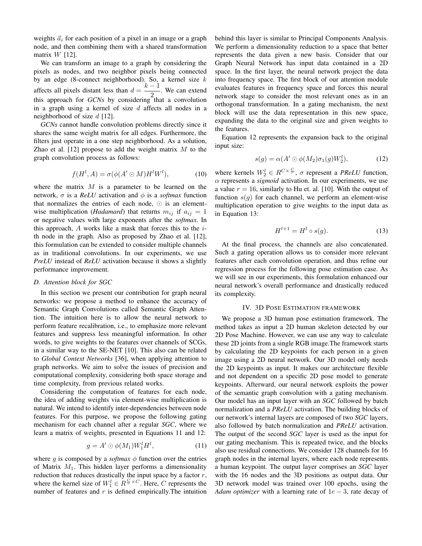weights  $\vec{a}_i$  for each position of a pixel in an image or a graph node, and then combining them with a shared transformation matrix  $W$  [12].

We can transform an image to a graph by considering the pixels as nodes, and two neighbor pixels being connected by an edge (8-connect neighborhood). So, a kernel size  $k$ affects all pixels distant less than  $d = \frac{k-1}{2}$  $\frac{1}{2}$ . We can extend this approach for *GCNs* by considering that a convolution in a graph using a kernel of size  $d$  affects all nodes in a neighborhood of size  $d$  [12].

*GCNs* cannot handle convolution problems directly since it shares the same weight matrix for all edges. Furthermore, the filters just operate in a one step neighborhood. As a solution, Zhao et al. [12] propose to add the weight matrix  $M$  to the graph convolution process as follows:

$$
f(H^l, A) = \sigma(\phi(A' \odot M)H^lW^l), \tag{10}
$$

where the matrix  $M$  is a parameter to be learned on the network,  $\sigma$  is a *ReLU* activation and  $\phi$  is a *softmax* function that normalizes the entries of each node,  $\odot$  is an elementwise multiplication (*Hadamard*) that returns  $m_{ij}$  if  $a_{ij} = 1$ or negative values with large exponents after the *softmax*. In this approach, A works like a mask that forces this to the  $i$ th node in the graph. Also as proposed by Zhao et al. [12], this formulation can be extended to consider multiple channels as in traditional convolutions. In our experiments, we use *PreLU* instead of *ReLU* activation because it shows a slightly performance improvement.

#### *D. Attention block for SGC*

In this section we present our contribution for graph neural networks: we propose a method to enhance the accuracy of Semantic Graph Convolutions called Semantic Graph Attention. The intuition here is to allow the neural network to perform feature recalibration, i.e., to emphasize more relevant features and suppress less meaningful information. In other words, to give weights to the features over channels of SCGs, in a similar way to the SE-NET [10]. This also can be related to *Global Context Networks* [36], when applying attention to graph networks. We aim to solve the issues of precision and computational complexity, considering both space storage and time complexity, from previous related works.

Considering the computation of features for each node, the idea of adding weights via element-wise multiplication is natural. We intend to identify inter-dependencies between node features. For this purpose, we propose the following gating mechanism for each channel after a regular *SGC*, where we learn a matrix of weights, presented in Equations 11 and 12:

$$
g = A' \odot \phi(M_1) W_1^l H^l, \tag{11}
$$

where g is composed by a *softmax*  $\phi$  function over the entries of Matrix  $M_1$ . This hidden layer performs a dimensionality reduction that reduces drastically the input space by a factor  $r$ , where the kernel size of  $W_1^l \in R^{\frac{C}{r} \times C}$ . Here, C represents the number of features and  $r$  is defined empirically. The intuition behind this layer is similar to Principal Components Analysis. We perform a dimensionality reduction to a space that better represents the data given a new basis. Consider that our Graph Neural Network has input data contained in a 2D space. In the first layer, the neural network project the data into frequency space. The first block of our attention module evaluates features in frequency space and forces this neural network stage to consider the most relevant ones as in an orthogonal transformation. In a gating mechanism, the next block will use the data representation in this new space, expanding the data to the original size and given weights to the features.

Equation 12 represents the expansion back to the original input size:

$$
s(g) = \alpha(A' \odot \phi(M_2)\sigma_1(g)W_2^l), \tag{12}
$$

where kernels  $W_2^l \in R^{C \times \frac{C}{r}}$ ,  $\sigma$  represent a *PReLU* function,  $\alpha$  represents a *sigmoid* activation. In our experiments, we use a value  $r = 16$ , similarly to Hu et. al. [10]. With the output of function  $s(g)$  for each channel, we perform an element-wise multiplication operation to give weights to the input data as in Equation 13:

$$
H^{l+1} = H^l \circ s(g). \tag{13}
$$

At the final process, the channels are also concatenated. Such a gating operation allows us to consider more relevant features after each convolution operation, and thus refine our regression process for the following pose estimation case. As we will see in our experiments, this formulation enhanced our neural network's overall performance and drastically reduced its complexity.

## IV. 3D POSE ESTIMATION FRAMEWORK

We propose a 3D human pose estimation framework. The method takes as input a 2D human skeleton detected by our 2D Pose Machine. However, we can use any way to calculate these 2D joints from a single RGB image.The framework starts by calculating the 2D keypoints for each person in a given image using a 2D neural network. Our 3D model only needs the 2D keypoints as input. It makes our architecture flexible and not dependent on a specific 2D pose model to generate keypoints. Afterward, our neural network exploits the power of the semantic graph convolution with a gating mechanism. Our model has an input layer with an *SGC* followed by batch normalization and a *PReLU* activation. The building blocks of our network's internal layers are composed of two *SGC* layers, also followed by batch normalization and *PReLU* activation. The output of the second *SGC* layer is used as the input for our gating mechanism. This is repeated twice, and the blocks also use residual connections. We consider 128 channels for 16 graph nodes in the internal layers, where each node represents a human keypoint. The output layer comprises an *SGC* layer with the 16 nodes and the 3D positions as output data. Our 3D network model was trained over 100 epochs, using the *Adam optimizer* with a learning rate of 1e − 3, rate decay of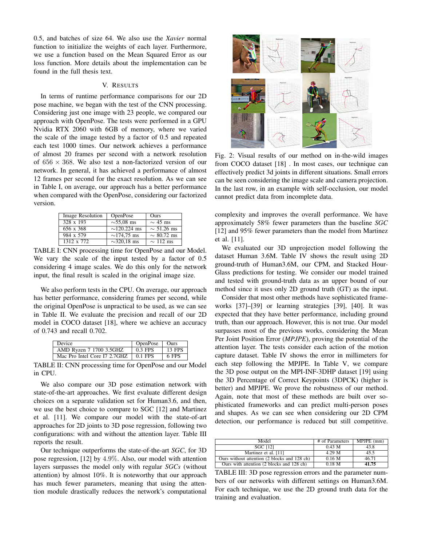0.5, and batches of size 64. We also use the *Xavier* normal function to initialize the weights of each layer. Furthermore, we use a function based on the Mean Squared Error as our loss function. More details about the implementation can be found in the full thesis text.

#### V. RESULTS

In terms of runtime performance comparisons for our 2D pose machine, we began with the test of the CNN processing. Considering just one image with 23 people, we compared our approach with OpenPose. The tests were performed in a GPU Nvidia RTX 2060 with 6GB of memory, where we varied the scale of the image tested by a factor of 0.5 and repeated each test 1000 times. Our network achieves a performance of almost 20 frames per second with a network resolution of  $656 \times 368$ . We also test a non-factorized version of our network. In general, it has achieved a performance of almost 12 frames per second for the exact resolution. As we can see in Table I, on average, our approach has a better performance when compared with the OpenPose, considering our factorized version.

| Image Resolution | <b>OpenPose</b>   | Ours            |
|------------------|-------------------|-----------------|
| 328 x 193        | $\sim$ 55.08 ms   | $\sim$ 45 ms    |
| 656 x 368        | $\sim$ 120.224 ms | $\sim$ 51.26 ms |
| 984 x 579        | $\sim$ 174.75 ms  | $\sim 80.72$ ms |
| 1312 x 772       | $\sim$ 320.18 ms  | $\sim$ 112 ms   |

TABLE I: CNN processing time for OpenPose and our Model. We vary the scale of the input tested by a factor of 0.5 considering 4 image scales. We do this only for the network input, the final result is scaled in the original image size.

We also perform tests in the CPU. On average, our approach has better performance, considering frames per second, while the original OpenPose is unpractical to be used, as we can see in Table II. We evaluate the precision and recall of our 2D model in COCO dataset [18], where we achieve an accuracy of 0.743 and recall 0.702.

| Device                       | OpenPose   Ours |        |
|------------------------------|-----------------|--------|
| AMD Ryzen 7 1700 3.5GHZ      | 0.3 FPS         | 13 FPS |
| Mac Pro Intel Core I7 2.7GHZ | $0.1$ FPS       | 6 FPS  |

TABLE II: CNN processing time for OpenPose and our Model in CPU.

We also compare our 3D pose estimation network with state-of-the-art approaches. We first evaluate different design choices on a separate validation set for Human3.6, and then, we use the best choice to compare to SGC [12] and Martinez et al. [11]. We compare our model with the state-of-art approaches for 2D joints to 3D pose regression, following two configurations: with and without the attention layer. Table III reports the result.

Our technique outperforms the state-of-the-art *SGC*, for 3D pose regression, [12] by 4.9%. Also, our model with attention layers surpasses the model only with regular *SGCs* (without attention) by almost 10%. It is noteworthy that our approach has much fewer parameters, meaning that using the attention module drastically reduces the network's computational



Fig. 2: Visual results of our method on in-the-wild images from COCO dataset [18] . In most cases, our technique can effectively predict 3d joints in different situations. Small errors can be seen considering the image scale and camera projection. In the last row, in an example with self-occlusion, our model cannot predict data from incomplete data.

complexity and improves the overall performance. We have approximately 58% fewer parameters than the baseline *SGC* [12] and 95% fewer parameters than the model from Martinez et al. [11].

We evaluated our 3D unprojection model following the dataset Human 3.6M. Table IV shows the result using 2D ground-truth of Human3.6M, our CPM, and Stacked Hour-Glass predictions for testing. We consider our model trained and tested with ground-truth data as an upper bound of our method since it uses only 2D ground truth (GT) as the input.

Consider that most other methods have sophisticated frameworks [37]–[39] or learning strategies [39], [40]. It was expected that they have better performance, including ground truth, than our approach. However, this is not true. Our model surpasses most of the previous works, considering the Mean Per Joint Position Error (*MPJPE*), proving the potential of the attention layer. The tests consider each action of the motion capture dataset. Table IV shows the error in millimeters for each step following the MPJPE. In Table V, we compare the 3D pose output on the MPI-INF-3DHP dataset [19] using the 3D Percentage of Correct Keypoints (3DPCK) (higher is better) and MPJPE. We prove the robustness of our method. Again, note that most of these methods are built over sophisticated frameworks and can predict multi-person poses and shapes. As we can see when considering our 2D CPM detection, our performance is reduced but still competitive.

| Model                                        | # of Parameters | $MPJPE$ (mm) |
|----------------------------------------------|-----------------|--------------|
| <b>SGC [12]</b>                              | 0.43 M          | 43.8         |
| Martinez et al. [11]                         | 4.29 M          | 45.5         |
| Ours without attention (2 blocks and 128 ch) | 0.16 M          | 46.71        |
| Ours with attention (2 blocks and 128 ch)    | $0.18$ M        | 41.75        |

TABLE III: 3D pose regression errors and the parameter numbers of our networks with different settings on Human3.6M. For each technique, we use the 2D ground truth data for the training and evaluation.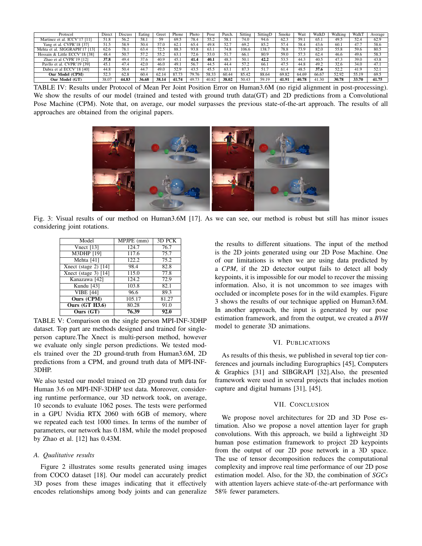| Protocol                      | Direct | <b>Discuss</b> | Eating | Greet        | Phone | Photo | Pose  | Purch. | Sitting | SittingD | Smoke | Wait  | WalkD | Walking | WalkT | Average |
|-------------------------------|--------|----------------|--------|--------------|-------|-------|-------|--------|---------|----------|-------|-------|-------|---------|-------|---------|
| Martinez et al. ICCV'17 [11]  | 51.8   | 56.2           | 58.1   | 59           | 69.5  | 78.4  | 55.2  | 58.1   | 74.0    | 94.6     | 62.3  | 59.1  | 65.1  | 49.5    | 52.4  | 62.9    |
| Yang et al. CVPR'18 [37]      | 51.5   | 58.9           | 50.4   | 57.0         | 62.   | 65.4  | 49.8  | 52.7   | 69.2    | 85.2     | 57.4  | 58.4  | 43.6  | 60.1    | 47.7  | 58.6    |
| Mehta et al. SIGGRAPH'17 [13] | 62.6   | 78.1           | 63.4   | $\pi$<br>2.2 | 88.3  | 93.8  | 63.1  | 74.8   | 106.6   | 138.7    | 78.8  | 73.9  | 82.0  | 55.8    | 59.6  | 80.5    |
| Hossain & Little ECCV'18 [38] | 48.4   | 50.7           | 57.2   | 55.2         | 63.   | 72.6  | 53.0  | 51.7   | 66.1    | 80.9     | 59.0  | 57.3  | 62.4  | 46.6    | 49.6  | 58.3    |
| Zhao et al CVPR'19 [12]       | 37.8   | 49.4           | 37.6   | 40.9         | 45.   | 41.4  | 40.1  | 48.3   | 50.1    | 42.2     | 53.5  | 44.3  | 40.5  | 47.3    | 39.0  | 43.8    |
| Pavllo et al. CVPR'19 [39]    | 45.1   | 47.4           | 42.0   | 46.0         | 49.1  | 56.7  | 44.5  | 44.4   | 57.2    | 66.1     | 47.5  | 44.8  | 49.2  | 32.6    | 34.0  | 47.1    |
| Dabra et al ECCV'18 [40]      | 44.8   | 50.4           | 44.7   | 49.0         | 52.9  | 43.5  | 45.5  | 63.1   | 87.3    | 51.7     | 61.4  | 48.5  | 37.6  | 52.2    | 41.9  | 52.1    |
| Our Model (CPM)               | 52.3   | 62.8           | 60.4   | 62.14        | 87.73 | 79.76 | 58.33 | 60.44  | 85.42   | 88.64    | 69.82 | 64.69 | 66.67 | 52.92   | 55.19 | 69.5    |
| Our Model (GT)                | 38.07  | 44.83          | 36.68  | 38.14        | 41.74 | 49.73 | 40.82 | 38.02  | 50.43   | 59.19    | 41.91 | 40.78 | 41.30 | 30.78   | 33.70 | 41.75   |

TABLE IV: Results under Protocol of Mean Per Joint Position Error on Human3.6M (no rigid alignment in post-processing). We show the results of our model (trained and tested with ground truth data(GT) and 2D predictions from a Convolutional Pose Machine (CPM). Note that, on average, our model surpasses the previous state-of-the-art approach. The results of all approaches are obtained from the original papers.



Fig. 3: Visual results of our method on Human3.6M [17]. As we can see, our method is robust but still has minor issues considering joint rotations.

| Model                          | MPJPE (mm) | 3D PCK |
|--------------------------------|------------|--------|
| Vnect $[13]$                   | 124.7      | 76.7   |
| $\overline{\text{M3DHP}}$ [19] | 117.6      | 75.7   |
| Mehta [41]                     | 122.2      | 75.2   |
| Xnect (stage 2) $[14]$         | 98.4       | 82.8   |
| Xnect (stage $3$ ) [14]        | 115.0      | 77.8   |
| Kanazawa [42]                  | 124.2      | 72.9   |
| Kundu [43]                     | 103.8      | 82.1   |
| <b>VIBE [44]</b>               | 96.6       | 89.3   |
| <b>Ours (CPM)</b>              | 105.17     | 81.27  |
| <b>Ours (GT H3.6)</b>          | 80.28      | 91.0   |
| Ours $(GT)$                    | 76.39      | 92.0   |

TABLE V: Comparison on the single person MPI-INF-3DHP dataset. Top part are methods designed and trained for singleperson capture.The Xnect is multi-person method, however we evaluate only single person predictions. We tested models trained over the 2D ground-truth from Human3.6M, 2D predictions from a CPM, and ground truth data of MPI-INF-3DHP.

We also tested our model trained on 2D ground truth data for Human 3.6 on MPI-INF-3DHP test data. Moreover, considering runtime performance, our 3D network took, on average, 10 seconds to evaluate 1062 poses. The tests were performed in a GPU Nvidia RTX 2060 with 6GB of memory, where we repeated each test 1000 times. In terms of the number of parameters, our network has 0.18M, while the model proposed by Zhao et al. [12] has 0.43M.

#### *A. Qualitative results*

Figure 2 illustrates some results generated using images from COCO dataset [18]. Our model can accurately predict 3D poses from these images indicating that it effectively encodes relationships among body joints and can generalize the results to different situations. The input of the method is the 2D joints generated using our 2D Pose Machine. One of our limitations is when we are using data predicted by a *CPM*, if the 2D detector output fails to detect all body keypoints, it is impossible for our model to recover the missing information. Also, it is not uncommon to see images with occluded or incomplete poses for in the wild examples. Figure 3 shows the results of our technique applied on Human3.6M. In another approach, the input is generated by our pose estimation framework, and from the output, we created a *BVH* model to generate 3D animations.

## VI. PUBLICATIONS

As results of this thesis, we published in several top tier conferences and journals including Eurographics [45], Computers & Graphics [31] and SIBGRAPI [32].Also, the presented framework were used in several projects that includes motion capture and digital humans [31], [45].

#### VII. CONCLUSION

We propose novel architectures for 2D and 3D Pose estimation. Also we propose a novel attention layer for graph convolutions. With this approach, we build a lightweight 3D human pose estimation framework to project 2D keypoints from the output of our 2D pose network in a 3D space. The use of tensor decomposition reduces the computational complexity and improve real time performance of our 2D pose estimation model. Also, for the 3D, the combination of *SGCs* with attention layers achieve state-of-the-art performance with 58% fewer parameters.